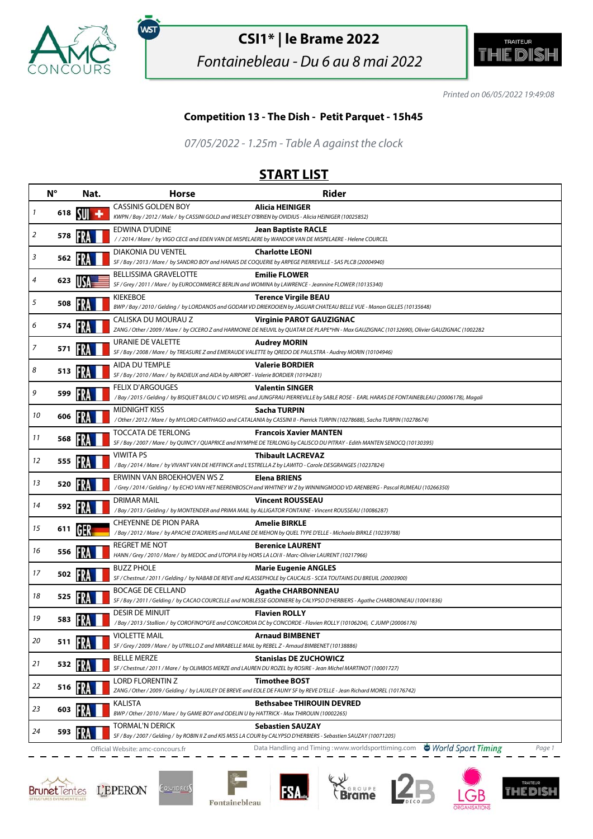

,<br>wsт

## **CSI1\* | le Brame 2022**

Fontainebleau - Du 6 au 8 mai 2022



Printed on 06/05/2022 19:49:08

## **Competition 13 - The Dish - Petit Parquet - 15h45**

07/05/2022 - 1.25m - Table A against the clock

## **START LIST**

|    | $N^{\circ}$ | Nat. | <b>Horse</b>                                                                                                                         | Rider                                                                                                                                                                                                                                                             |
|----|-------------|------|--------------------------------------------------------------------------------------------------------------------------------------|-------------------------------------------------------------------------------------------------------------------------------------------------------------------------------------------------------------------------------------------------------------------|
| 1  | 618         | КII  | <b>CASSINIS GOLDEN BOY</b><br>KWPN / Bay / 2012 / Male / by CASSINI GOLD and WESLEY O'BRIEN by OVIDIUS - Alicia HEINIGER (10025852)  | <b>Alicia HEINIGER</b>                                                                                                                                                                                                                                            |
| 2  | 578         |      | EDWINA D'UDINE                                                                                                                       | <b>Jean Baptiste RACLE</b><br>//2014/Mare/ by VIGO CECE and EDEN VAN DE MISPELAERE by WANDOR VAN DE MISPELAERE - Helene COURCEL                                                                                                                                   |
| 3  | 562         |      | DIAKONIA DU VENTEL<br>SF / Bay / 2013 / Mare / by SANDRO BOY and HANAIS DE COQUERIE by ARPEGE PIERREVILLE - SAS PLCB (20004940)      | <b>Charlotte LEONI</b>                                                                                                                                                                                                                                            |
| 4  | 623         |      | <b>BELLISSIMA GRAVELOTTE</b><br>SF / Grey / 2011 / Mare / by EUROCOMMERCE BERLIN and WOMINA by LAWRENCE - Jeannine FLOWER (10135340) | <b>Emilie FLOWER</b>                                                                                                                                                                                                                                              |
| 5  | 508         | FRA  | <b>KIEKEBOE</b>                                                                                                                      | <b>Terence Virgile BEAU</b><br>BWP / Bay / 2010 / Gelding / by LORDANOS and GODAM VD DRIEKOOIEN by JAGUAR CHATEAU BELLE VUE - Manon GILLES (10135648)                                                                                                             |
| 6  | 574         |      | CALISKA DU MOURAU Z                                                                                                                  | <b>Virginie PAROT GAUZIGNAC</b><br>ZANG / Other / 2009 / Mare / by CICERO Z and HARMONIE DE NEUVIL by QUATAR DE PLAPE*HN - Max GAUZIGNAC (10132690), Olivier GAUZIGNAC (1002282                                                                                   |
| 7  | 571         |      | URANIE DE VALETTE                                                                                                                    | <b>Audrey MORIN</b><br>SF / Bay / 2008 / Mare / by TREASURE Z and EMERAUDE VALETTE by QREDO DE PAULSTRA - Audrey MORIN (10104946)                                                                                                                                 |
| 8  | 513         |      | AIDA DU TEMPLE<br>SF / Bay / 2010 / Mare / by RADIEUX and AIDA by AIRPORT - Valerie BORDIER (10194281)                               | <b>Valerie BORDIER</b>                                                                                                                                                                                                                                            |
| 9  | 599         |      | FELIX D'ARGOUGES                                                                                                                     | <b>Valentin SINGER</b><br>/Bay / 2015 / Gelding / by BISQUET BALOU C VD MISPEL and JUNGFRAU PIERREVILLE by SABLE ROSE - EARL HARAS DE FONTAINEBLEAU (20006178), Magali                                                                                            |
| 10 | 606         |      | MIDNIGHT KISS                                                                                                                        | Sacha TURPIN<br>/ Other / 2012 / Mare / by MYLORD CARTHAGO and CATALANIA by CASSINI II - Pierrick TURPIN (10278688), Sacha TURPIN (10278674)                                                                                                                      |
| 11 | 568         |      | TOCCATA DE TERLONG                                                                                                                   | <b>Francois Xavier MANTEN</b><br>SF / Bay / 2007 / Mare / by QUINCY / QUAPRICE and NYMPHE DE TERLONG by CALISCO DU PITRAY - Edith MANTEN SENOCQ (10130395)                                                                                                        |
| 12 | 555         |      | VIWITA PS<br>/ Bay / 2014 / Mare / by VIVANT VAN DE HEFFINCK and L'ESTRELLA Z by LAWITO - Carole DESGRANGES (10237824)               | <b>Thibault LACREVAZ</b>                                                                                                                                                                                                                                          |
| 13 | 520         |      | ERWINN VAN BROEKHOVEN WS Z                                                                                                           | <b>Elena BRIENS</b><br>/Grey/2014/Gelding/by ECHO VAN HET NEERENBOSCH and WHITNEY W Z by WINNINGMOOD VD ARENBERG - Pascal RUMEAU (10266350)                                                                                                                       |
| 14 | 592         | FRA  | <b>DRIMAR MAIL</b>                                                                                                                   | <b>Vincent ROUSSEAU</b><br>/Bay / 2013 / Gelding / by MONTENDER and PRIMA MAIL by ALLIGATOR FONTAINE - Vincent ROUSSEAU (10086287)                                                                                                                                |
| 15 | 611         | GH:  | <b>CHEYENNE DE PION PARA</b>                                                                                                         | <b>Amelie BIRKLE</b><br>/ Bay / 2012 / Mare / by APACHE D'ADRIERS and MULANE DE MEHON by QUEL TYPE D'ELLE - Michaela BIRKLE (10239788)                                                                                                                            |
| 16 | 556         |      | REGRET ME NOT<br>HANN / Grey / 2010 / Mare / by MEDOC and UTOPIA II by HORS LA LOI II - Marc-Olivier LAURENT (10217966)              | <b>Berenice LAURENT</b>                                                                                                                                                                                                                                           |
| 17 | 502         |      | <b>BUZZ PHOLE</b>                                                                                                                    | <b>Marie Eugenie ANGLES</b><br>SF / Chestnut / 2011 / Gelding / by NABAB DE REVE and KLASSEPHOLE by CAUCALIS - SCEA TOUTAINS DU BREUIL (20003900)                                                                                                                 |
| 18 | 525         |      | <b>BOCAGE DE CELLAND</b>                                                                                                             | <b>Agathe CHARBONNEAU</b><br>SF / Bay / 2011 / Gelding / by CACAO COURCELLE and NOBLESSE GODINIERE by CALYPSO D'HERBIERS - Agathe CHARBONNEAU (10041836)                                                                                                          |
| 19 | 583         |      | <b>DESIR DE MINUIT</b>                                                                                                               | <b>Flavien ROLLY</b><br>/Bay / 2013 / Stallion / by COROFINO*GFE and CONCORDIA DC by CONCORDE - Flavien ROLLY (10106204), CJUMP (20006176)                                                                                                                        |
| 20 | 511         |      | <b>VIOLETTE MAIL</b><br>SF / Grey / 2009 / Mare / by UTRILLO Z and MIRABELLE MAIL by REBEL Z - Arnaud BIMBENET (10138886)            | <b>Arnaud BIMBENET</b>                                                                                                                                                                                                                                            |
| 21 | 532 1       |      | <b>BELLE MERZE</b>                                                                                                                   | <b>Stanislas DE ZUCHOWICZ</b>                                                                                                                                                                                                                                     |
| 22 | 516         |      | <b>LORD FLORENTIN Z</b>                                                                                                              | SF / Chestnut / 2011 / Mare / by OLIMBOS MERZE and LAUREN DU ROZEL by ROSIRE - Jean Michel MARTINOT (10001727)<br><b>Timothee BOST</b><br>ZANG / Other / 2009 / Gelding / by LAUXLEY DE BREVE and EOLE DE FAUNY SF by REVE D'ELLE - Jean Richard MOREL (10176742) |
| 23 | 603         |      | KALISTA                                                                                                                              | <b>Bethsabee THIROUIN DEVRED</b>                                                                                                                                                                                                                                  |
| 24 | 593         |      | BWP / Other / 2010 / Mare / by GAME BOY and ODELIN U by HATTRICK - Max THIROUIN (10002265)<br>TORMAL'N DERICK                        | <b>Sebastien SAUZAY</b>                                                                                                                                                                                                                                           |
|    |             |      | Official Website: amc-concours.fr                                                                                                    | SF / Bay / 2007 / Gelding / by ROBIN II Z and KIS MISS LA COUR by CALYPSO D'HERBIERS - Sebastien SAUZAY (10071205)<br>World Sport Timing<br>Data Handling and Timing: www.worldsporttiming.com<br>Page 1                                                          |







**FSA**